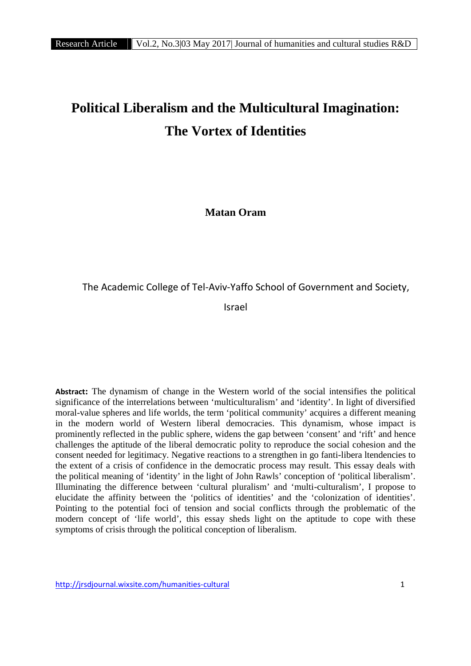# **Political Liberalism and the Multicultural Imagination: The Vortex of Identities**

**Matan Oram**

The Academic College of Tel-Aviv-Yaffo School of Government and Society,

Israel

**Abstract:** The dynamism of change in the Western world of the social intensifies the political significance of the interrelations between 'multiculturalism' and 'identity'. In light of diversified moral-value spheres and life worlds, the term 'political community' acquires a different meaning in the modern world of Western liberal democracies. This dynamism, whose impact is prominently reflected in the public sphere, widens the gap between 'consent' and 'rift' and hence challenges the aptitude of the liberal democratic polity to reproduce the social cohesion and the consent needed for legitimacy. Negative reactions to a strengthen in go fanti-libera ltendencies to the extent of a crisis of confidence in the democratic process may result. This essay deals with the political meaning of 'identity' in the light of John Rawls' conception of 'political liberalism'. Illuminating the difference between 'cultural pluralism' and 'multi-culturalism', I propose to elucidate the affinity between the 'politics of identities' and the 'colonization of identities'. Pointing to the potential foci of tension and social conflicts through the problematic of the modern concept of 'life world', this essay sheds light on the aptitude to cope with these symptoms of crisis through the political conception of liberalism.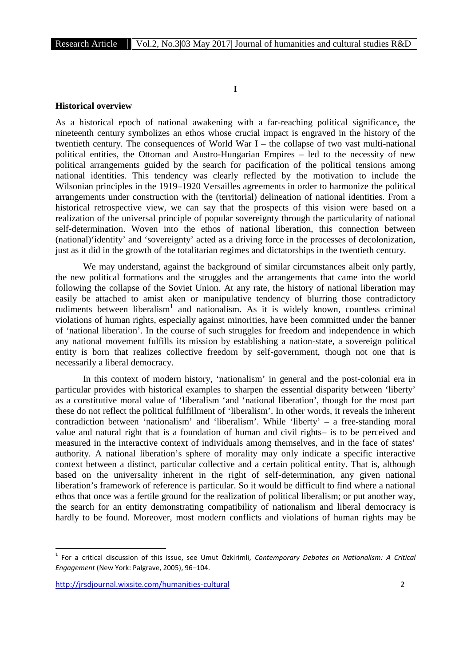# **I**

#### **Historical overview**

As a historical epoch of national awakening with a far-reaching political significance, the nineteenth century symbolizes an ethos whose crucial impact is engraved in the history of the twentieth century. The consequences of World War I – the collapse of two vast multi-national political entities, the Ottoman and Austro-Hungarian Empires – led to the necessity of new political arrangements guided by the search for pacification of the political tensions among national identities. This tendency was clearly reflected by the motivation to include the Wilsonian principles in the 1919–1920 Versailles agreements in order to harmonize the political arrangements under construction with the (territorial) delineation of national identities. From a historical retrospective view, we can say that the prospects of this vision were based on a realization of the universal principle of popular sovereignty through the particularity of national self-determination. Woven into the ethos of national liberation, this connection between (national)'identity' and 'sovereignty' acted as a driving force in the processes of decolonization, just as it did in the growth of the totalitarian regimes and dictatorships in the twentieth century.

We may understand, against the background of similar circumstances albeit only partly, the new political formations and the struggles and the arrangements that came into the world following the collapse of the Soviet Union. At any rate, the history of national liberation may easily be attached to amist aken or manipulative tendency of blurring those contradictory rudiments between liberalism<sup>1</sup> and nationalism. As it is widely known, countless criminal violations of human rights, especially against minorities, have been committed under the banner of 'national liberation'. In the course of such struggles for freedom and independence in which any national movement fulfills its mission by establishing a nation-state, a sovereign political entity is born that realizes collective freedom by self-government, though not one that is necessarily a liberal democracy.

In this context of modern history, 'nationalism' in general and the post-colonial era in particular provides with historical examples to sharpen the essential disparity between 'liberty' as a constitutive moral value of 'liberalism 'and 'national liberation', though for the most part these do not reflect the political fulfillment of 'liberalism'. In other words, it reveals the inherent contradiction between 'nationalism' and 'liberalism'. While 'liberty' – a free-standing moral value and natural right that is a foundation of human and civil rights– is to be perceived and measured in the interactive context of individuals among themselves, and in the face of states' authority. A national liberation's sphere of morality may only indicate a specific interactive context between a distinct, particular collective and a certain political entity. That is, although based on the universality inherent in the right of self-determination, any given national liberation's framework of reference is particular. So it would be difficult to find where a national ethos that once was a fertile ground for the realization of political liberalism; or put another way, the search for an entity demonstrating compatibility of nationalism and liberal democracy is hardly to be found. Moreover, most modern conflicts and violations of human rights may be

<sup>1</sup> For a critical discussion of this issue, see Umut Özkirimli, *Contemporary Debates on Nationalism: A Critical Engagement* (New York: Palgrave, 2005), 96–104.

http://jrsdjournal.wixsite.com/humanities-cultural 2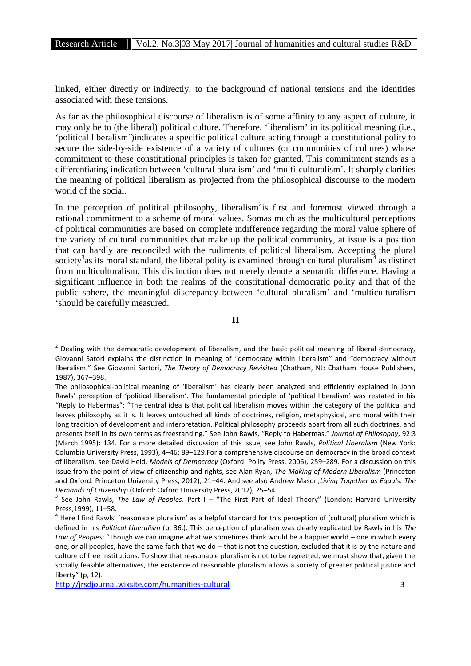linked, either directly or indirectly, to the background of national tensions and the identities associated with these tensions.

As far as the philosophical discourse of liberalism is of some affinity to any aspect of culture, it may only be to (the liberal) political culture. Therefore, 'liberalism' in its political meaning (i.e., 'political liberalism')indicates a specific political culture acting through a constitutional polity to secure the side-by-side existence of a variety of cultures (or communities of cultures) whose commitment to these constitutional principles is taken for granted. This commitment stands as a differentiating indication between 'cultural pluralism' and 'multi-culturalism'. It sharply clarifies the meaning of political liberalism as projected from the philosophical discourse to the modern world of the social.

In the perception of political philosophy, liberalism<sup>2</sup>is first and foremost viewed through a rational commitment to a scheme of moral values. Somas much as the multicultural perceptions of political communities are based on complete indifference regarding the moral value sphere of the variety of cultural communities that make up the political community, at issue is a position that can hardly are reconciled with the rudiments of political liberalism. Accepting the plural society<sup>3</sup> as its moral standard, the liberal polity is examined through cultural pluralism<sup>4</sup> as distinct from multiculturalism. This distinction does not merely denote a semantic difference. Having a significant influence in both the realms of the constitutional democratic polity and that of the public sphere, the meaningful discrepancy between 'cultural pluralism' and 'multiculturalism 'should be carefully measured.

**II**

 $2$  Dealing with the democratic development of liberalism, and the basic political meaning of liberal democracy, Giovanni Satori explains the distinction in meaning of "democracy within liberalism" and "democracy without liberalism." See Giovanni Sartori, *The Theory of Democracy Revisited* (Chatham, NJ: Chatham House Publishers, 1987), 367–398.

The philosophical-political meaning of 'liberalism' has clearly been analyzed and efficiently explained in John Rawls' perception of 'political liberalism'. The fundamental principle of 'political liberalism' was restated in his "Reply to Habermas": "The central idea is that political liberalism moves within the category of the political and leaves philosophy as it is. It leaves untouched all kinds of doctrines, religion, metaphysical, and moral with their long tradition of development and interpretation. Political philosophy proceeds apart from all such doctrines, and presents itself in its own terms as freestanding." See John Rawls, "Reply to Habermas," *Journal of Philosophy*, 92:3 (March 1995): 134. For a more detailed discussion of this issue, see John Rawls, *Political Liberalism* (New York: Columbia University Press, 1993), 4–46; 89–129.For a comprehensive discourse on democracy in the broad context of liberalism, see David Held, *Models of Democracy* (Oxford: Polity Press, 2006), 259–289. For a discussion on this issue from the point of view of citizenship and rights, see Alan Ryan, *The Making of Modern Liberalism* (Princeton and Oxford: Princeton University Press, 2012), 21–44. And see also Andrew Mason,*Living Together as Equals: The Demands of Citizenship* (Oxford: Oxford University Press, 2012), 25–54.<br><sup>3</sup> See John Rawls, *The Law of Peoples*. Part I – "The First Part of Ideal Theory" (London: Harvard University

Press,1999), 11–58.<br> $4$  Here I find Rawls' 'reasonable pluralism' as a helpful standard for this perception of (cultural) pluralism which is

defined in his *Political Liberalism* (p. 36.). This perception of pluralism was clearly explicated by Rawls in his *The Law of Peoples*: "Though we can imagine what we sometimes think would be a happier world – one in which every one, or all peoples, have the same faith that we do – that is not the question, excluded that it is by the nature and culture of free institutions. To show that reasonable pluralism is not to be regretted, we must show that, given the socially feasible alternatives, the existence of reasonable pluralism allows a society of greater political justice and liberty" (p, 12).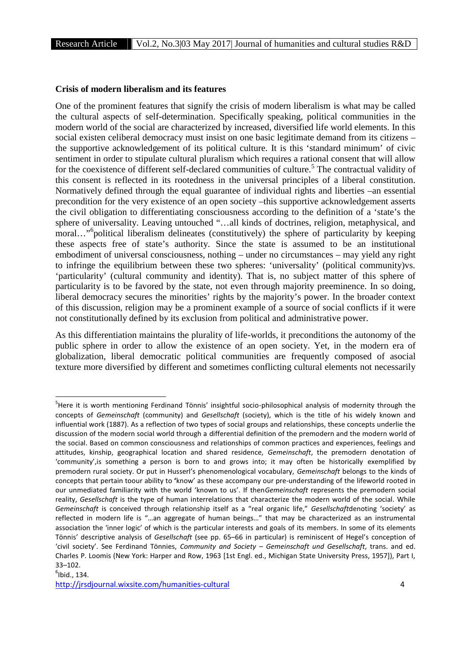#### **Crisis of modern liberalism and its features**

One of the prominent features that signify the crisis of modern liberalism is what may be called the cultural aspects of self-determination. Specifically speaking, political communities in the modern world of the social are characterized by increased, diversified life world elements. In this social existen celiberal democracy must insist on one basic legitimate demand from its citizens – the supportive acknowledgement of its political culture. It is this 'standard minimum' of civic sentiment in order to stipulate cultural pluralism which requires a rational consent that will allow for the coexistence of different self-declared communities of culture.<sup>5</sup> The contractual validity of this consent is reflected in its rootedness in the universal principles of a liberal constitution. Normatively defined through the equal guarantee of individual rights and liberties –an essential precondition for the very existence of an open society –this supportive acknowledgement asserts the civil obligation to differentiating consciousness according to the definition of a 'state's the sphere of universality. Leaving untouched "…all kinds of doctrines, religion, metaphysical, and moral..."<sup>6</sup>political liberalism delineates (constitutively) the sphere of particularity by keeping these aspects free of state's authority. Since the state is assumed to be an institutional embodiment of universal consciousness, nothing – under no circumstances – may yield any right to infringe the equilibrium between these two spheres: 'universality' (political community)vs. 'particularity' (cultural community and identity). That is, no subject matter of this sphere of particularity is to be favored by the state, not even through majority preeminence. In so doing, liberal democracy secures the minorities' rights by the majority's power. In the broader context of this discussion, religion may be a prominent example of a source of social conflicts if it were not constitutionally defined by its exclusion from political and administrative power.

As this differentiation maintains the plurality of life-worlds, it preconditions the autonomy of the public sphere in order to allow the existence of an open society. Yet, in the modern era of globalization, liberal democratic political communities are frequently composed of asocial texture more diversified by different and sometimes conflicting cultural elements not necessarily

<sup>&</sup>lt;sup>5</sup>Here it is worth mentioning Ferdinand Tönnis' insightful socio-philosophical analysis of modernity through the concepts of *Gemeinschaft* (community) and *Gesellschaft* (society), which is the title of his widely known and influential work (1887). As a reflection of two types of social groups and relationships, these concepts underlie the discussion of the modern social world through a differential definition of the premodern and the modern world of the social. Based on common consciousness and relationships of common practices and experiences, feelings and attitudes, kinship, geographical location and shared residence, *Gemeinschaft*, the premodern denotation of 'community',is something a person is born to and grows into; it may often be historically exemplified by premodern rural society. Or put in Husserl's phenomenological vocabulary, *Gemeinschaft* belongs to the kinds of concepts that pertain toour ability to **'**know' as these accompany our pre-understanding of the lifeworld rooted in our unmediated familiarity with the world 'known to us'. If then*Gemeinschaft* represents the premodern social reality, *Gesellschaft* is the type of human interrelations that characterize the modern world of the social. While *Gemeinschaft* is conceived through relationship itself as a "real organic life," *Gesellschaft*denoting 'society' as reflected in modern life is "…an aggregate of human beings…" that may be characterized as an instrumental association the 'inner logic' of which is the particular interests and goals of its members. In some of its elements Tönnis' descriptive analysis of *Gesellschaft* (see pp. 65–66 in particular) is reminiscent of Hegel's conception of 'civil society'. See Ferdinand Tönnies, *Community and Society* – *Gemeinschaft und Gesellschaft*, trans. and ed. Charles P. Loomis (New York: Harper and Row, 1963 [1st Engl. ed., Michigan State University Press, 1957]), Part I,  $33 - 102$ .

http://jrsdjournal.wixsite.com/humanities-cultural 4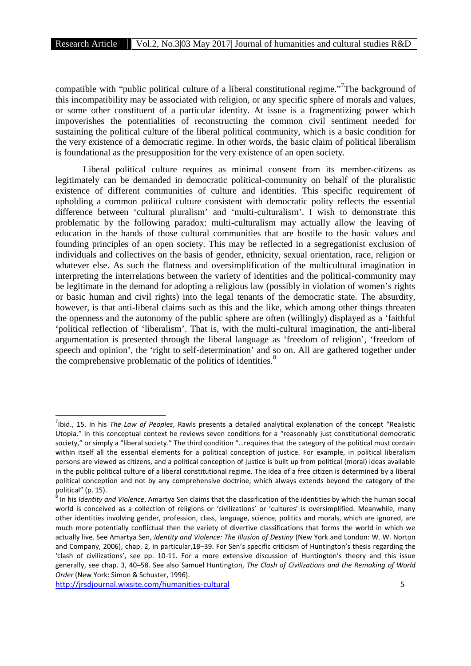compatible with "public political culture of a liberal constitutional regime."<sup>7</sup>The background of this incompatibility may be associated with religion, or any specific sphere of morals and values, or some other constituent of a particular identity. At issue is a fragmentizing power which impoverishes the potentialities of reconstructing the common civil sentiment needed for sustaining the political culture of the liberal political community, which is a basic condition for the very existence of a democratic regime. In other words, the basic claim of political liberalism is foundational as the presupposition for the very existence of an open society.

Liberal political culture requires as minimal consent from its member-citizens as legitimately can be demanded in democratic political-community on behalf of the pluralistic existence of different communities of culture and identities. This specific requirement of upholding a common political culture consistent with democratic polity reflects the essential difference between 'cultural pluralism' and 'multi-culturalism'. I wish to demonstrate this problematic by the following paradox: multi-culturalism may actually allow the leaving of education in the hands of those cultural communities that are hostile to the basic values and founding principles of an open society. This may be reflected in a segregationist exclusion of individuals and collectives on the basis of gender, ethnicity, sexual orientation, race, religion or whatever else. As such the flatness and oversimplification of the multicultural imagination in interpreting the interrelations between the variety of identities and the political-community may be legitimate in the demand for adopting a religious law (possibly in violation of women's rights or basic human and civil rights) into the legal tenants of the democratic state. The absurdity, however, is that anti-liberal claims such as this and the like, which among other things threaten the openness and the autonomy of the public sphere are often (willingly) displayed as a 'faithful 'political reflection of 'liberalism'. That is, with the multi-cultural imagination, the anti-liberal argumentation is presented through the liberal language as 'freedom of religion', 'freedom of speech and opinion', the 'right to self-determination' and so on. All are gathered together under the comprehensive problematic of the politics of identities. $8<sup>8</sup>$ 

<sup>7</sup> Ibid., 15. In his *The Law of Peoples*, Rawls presents a detailed analytical explanation of the concept "Realistic Utopia." In this conceptual context he reviews seven conditions for a "reasonably just constitutional democratic society," or simply a "liberal society." The third condition "…requires that the category of the political must contain within itself all the essential elements for a political conception of justice. For example, in political liberalism persons are viewed as citizens, and a political conception of justice is built up from political (moral) ideas available in the public political culture of a liberal constitutional regime. The idea of a free citizen is determined by a liberal political conception and not by any comprehensive doctrine, which always extends beyond the category of the

political" (p. 15).<br><sup>8</sup> In his *Identity and Violence,* Amartya Sen claims that the classification of the identities by which the human social world is conceived as a collection of religions or 'civilizations' or 'cultures' is oversimplified. Meanwhile, many other identities involving gender, profession, class, language, science, politics and morals, which are ignored, are much more potentially conflictual then the variety of divertive classifications that forms the world in which we actually live. See Amartya Sen, *Identity and Violence: The Illusion of Destiny* (New York and London: W. W. Norton and Company, 2006), chap. 2, in particular,18–39. For Sen's specific criticism of Huntington's thesis regarding the 'clash of civilizations', see pp. 10-11. For a more extensive discussion of Huntington's theory and this issue generally, see chap. 3, 40–58. See also Samuel Huntington, *The Clash of Civilizations and the Remaking of World Order* (New York: Simon & Schuster, 1996).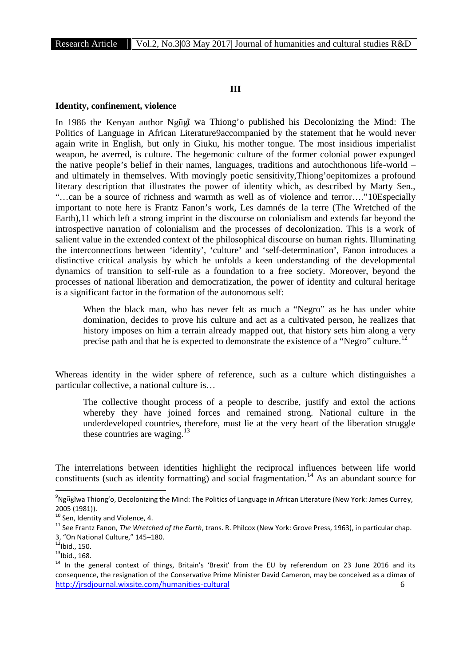# **III**

#### **Identity, confinement, violence**

In 1986 the Kenyan author Ng g wa Thiong'o published his Decolonizing the Mind: The Politics of Language in African Literature9accompanied by the statement that he would never again write in English, but only in Giuku, his mother tongue. The most insidious imperialist weapon, he averred, is culture. The hegemonic culture of the former colonial power expunged the native people's belief in their names, languages, traditions and autochthonous life-world – and ultimately in themselves. With movingly poetic sensitivity,Thiong'oepitomizes a profound literary description that illustrates the power of identity which, as described by Marty Sen., "…can be a source of richness and warmth as well as of violence and terror…."10Especially important to note here is Frantz Fanon's work, Les damnés de la terre (The Wretched of the Earth),11 which left a strong imprint in the discourse on colonialism and extends far beyond the introspective narration of colonialism and the processes of decolonization. This is a work of salient value in the extended context of the philosophical discourse on human rights. Illuminating the interconnections between 'identity', 'culture' and 'self-determination', Fanon introduces a distinctive critical analysis by which he unfolds a keen understanding of the developmental dynamics of transition to self-rule as a foundation to a free society. Moreover, beyond the processes of national liberation and democratization, the power of identity and cultural heritage is a significant factor in the formation of the autonomous self:

When the black man, who has never felt as much a "Negro" as he has under white domination, decides to prove his culture and act as a cultivated person, he realizes that history imposes on him a terrain already mapped out, that history sets him along a very precise path and that he is expected to demonstrate the existence of a "Negro" culture.<sup>12</sup>

Whereas identity in the wider sphere of reference, such as a culture which distinguishes a particular collective, a national culture is…

The collective thought process of a people to describe, justify and extol the actions whereby they have joined forces and remained strong. National culture in the underdeveloped countries, therefore, must lie at the very heart of the liberation struggle these countries are waging. $^{13}$ 

The interrelations between identities highlight the reciprocal influences between life world constituents (such as identity formatting) and social fragmentation.<sup>14</sup> As an abundant source for

<sup>&</sup>lt;sup>9</sup>Ngũgĩwa Thiong'o, Decolonizing the Mind: The Politics of Language in African Literature (New York: James Currey, 2005 (1981)).<br><sup>10</sup> Sen, Identity and Violence, 4.<br><sup>11</sup> See Frantz Fanon, *The Wretched of the Earth*, trans. R. Philcox (New York: Grove Press, 1963), in particular chap.

<sup>3, &</sup>quot;On National Culture," 145–180.<br><sup>12</sup>Ibid., 150.<br><sup>13</sup>Ibid., 168.<br><sup>14</sup> In the general context of things, Britain's 'Brexit' from the EU by referendum on 23 June 2016 and its

http://jrsdjournal.wixsite.com/humanities-cultural 6 consequence, the resignation of the Conservative Prime Minister David Cameron, may be conceived as a climax of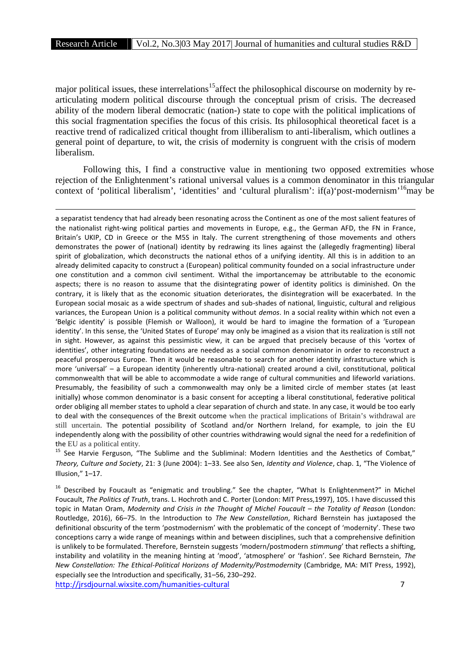major political issues, these interrelations<sup>15</sup>affect the philosophical discourse on modernity by rearticulating modern political discourse through the conceptual prism of crisis. The decreased ability of the modern liberal democratic (nation-) state to cope with the political implications of this social fragmentation specifies the focus of this crisis. Its philosophical theoretical facet is a reactive trend of radicalized critical thought from illiberalism to anti-liberalism, which outlines a general point of departure, to wit, the crisis of modernity is congruent with the crisis of modern liberalism.

Following this, I find a constructive value in mentioning two opposed extremities whose rejection of the Enlightenment's rational universal values is a common denominator in this triangular context of 'political liberalism', 'identities' and 'cultural pluralism': if(a)'post-modernism'<sup>16</sup>may be

a separatist tendency that had already been resonating across the Continent as one of the most salient features of the nationalist right-wing political parties and movements in Europe, e.g., the German AFD, the FN in France, Britain's UKIP, CD in Greece or the M5S in Italy. The current strengthening of those movements and others demonstrates the power of (national) identity by redrawing its lines against the (allegedly fragmenting) liberal spirit of globalization, which deconstructs the national ethos of a unifying identity. All this is in addition to an already delimited capacity to construct a (European) political community founded on a social infrastructure under one constitution and a common civil sentiment. Withal the importancemay be attributable to the economic aspects; there is no reason to assume that the disintegrating power of identity politics is diminished. On the contrary, it is likely that as the economic situation deteriorates, the disintegration will be exacerbated. In the European social mosaic as a wide spectrum of shades and sub-shades of national, linguistic, cultural and religious variances, the European Union is a political community without *demos*. In a social reality within which not even a 'Belgic identity' is possible (Flemish or Walloon), it would be hard to imagine the formation of a 'European identity'. In this sense, the 'United States of Europe' may only be imagined as a vision that its realization is still not in sight. However, as against this pessimistic view, it can be argued that precisely because of this 'vortex of identities', other integrating foundations are needed as a social common denominator in order to reconstruct a peaceful prosperous Europe. Then it would be reasonable to search for another identity infrastructure which is more 'universal' – a European identity (inherently ultra-national) created around a civil, constitutional, political commonwealth that will be able to accommodate a wide range of cultural communities and lifeworld variations. Presumably, the feasibility of such a commonwealth may only be a limited circle of member states (at least initially) whose common denominator is a basic consent for accepting a liberal constitutional, federative political order obliging all member states to uphold a clear separation of church and state. In any case, it would be too early to deal with the consequences of the Brexit outcome when the practical implications of Britain's withdrawal are still uncertain. The potential possibility of Scotland and/or Northern Ireland, for example, to join the EU independently along with the possibility of other countries withdrawing would signal the need for a redefinition of

the EU as a political entity.<br><sup>15</sup> See Harvie Ferguson, "The Sublime and the Subliminal: Modern Identities and the Aesthetics of Combat," *Theory, Culture and Society*, 21: 3 (June 2004): 1–33. See also Sen, *Identity and Violence*, chap. 1, "The Violence of Illusion," 1–17.

<sup>16</sup> Described by Foucault as "enigmatic and troubling." See the chapter, "What Is Enlightenment?" in Michel Foucault, *The Politics of Truth*, trans. L. Hochroth and C. Porter (London: MIT Press,1997), 105. I have discussed this topic in Matan Oram, *Modernity and Crisis in the Thought of Michel Foucault* – *the Totality of Reason* (London: Routledge, 2016), 66–75. In the Introduction to *The New Constellation*, Richard Bernstein has juxtaposed the definitional obscurity of the term 'postmodernism' with the problematic of the concept of 'modernity'. These two conceptions carry a wide range of meanings within and between disciplines, such that a comprehensive definition is unlikely to be formulated. Therefore, Bernstein suggests 'modern/postmodern *stimmung*' that reflects a shifting, instability and volatility in the meaning hinting at 'mood', 'atmosphere' or 'fashion'. See Richard Bernstein, *The New Constellation: The Ethical-Political Horizons of Modernity/Postmodernity* (Cambridge, MA: MIT Press, 1992), especially see the Introduction and specifically, 31–56, 230–292.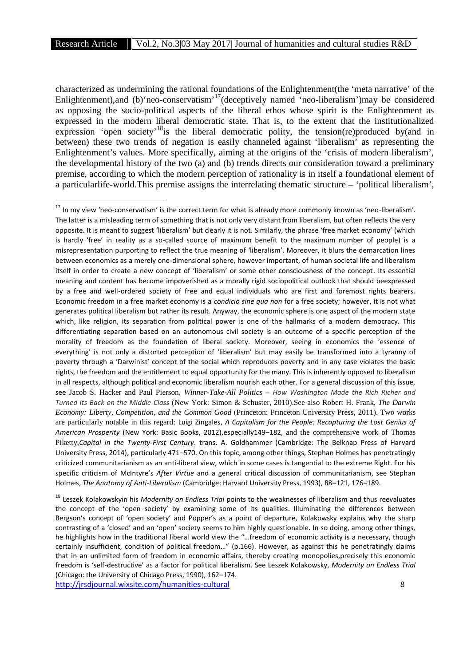characterized as undermining the rational foundations of the Enlightenment(the 'meta narrative' of the Enlightenment),and (b)'neo-conservatism'<sup>17</sup>(deceptively named 'neo-liberalism')may be considered as opposing the socio-political aspects of the liberal ethos whose spirit is the Enlightenment as expressed in the modern liberal democratic state. That is, to the extent that the institutionalized expression 'open society'<sup>18</sup>is the liberal democratic polity, the tension(re)produced by(and in between) these two trends of negation is easily channeled against 'liberalism' as representing the Enlightenment's values. More specifically, aiming at the origins of the 'crisis of modern liberalism', the developmental history of the two (a) and (b) trends directs our consideration toward a preliminary premise, according to which the modern perception of rationality is in itself a foundational element of a particularlife-world.This premise assigns the interrelating thematic structure – 'political liberalism',

<sup>&</sup>lt;sup>17</sup> In my view 'neo-conservatism' is the correct term for what is already more commonly known as 'neo-liberalism'. The latter is a misleading term of something that is not only very distant from liberalism, but often reflects the very opposite. It is meant to suggest 'liberalism' but clearly it is not. Similarly, the phrase 'free market economy' (which is hardly 'free' in reality as a so-called source of maximum benefit to the maximum number of people) is a misrepresentation purporting to reflect the true meaning of 'liberalism'. Moreover, it blurs the demarcation lines between economics as a merely one-dimensional sphere, however important, of human societal life and liberalism itself in order to create a new concept of 'liberalism' or some other consciousness of the concept. Its essential meaning and content has become impoverished as a morally rigid sociopolitical outlook that should beexpressed by a free and well-ordered society of free and equal individuals who are first and foremost rights bearers. Economic freedom in a free market economy is a *condicio sine qua non* for a free society; however, it is not what generates political liberalism but rather its result. Anyway, the economic sphere is one aspect of the modern state which, like religion, its separation from political power is one of the hallmarks of a modern democracy. This differentiating separation based on an autonomous civil society is an outcome of a specific perception of the morality of freedom as the foundation of liberal society. Moreover, seeing in economics the 'essence of everything' is not only a distorted perception of 'liberalism' but may easily be transformed into a tyranny of poverty through a 'Darwinist' concept of the social which reproduces poverty and in any case violates the basic rights, the freedom and the entitlement to equal opportunity for the many. This is inherently opposed to liberalism in all respects, although political and economic liberalism nourish each other. For a general discussion of this issue, see Jacob S. Hacker and Paul Pierson, *Winner-Take-All Politics – How Washington Made the Rich Richer and Turned Its Back on the Middle Class* (New York: Simon & Schuster, 2010).See also Robert H. Frank, *The Darwin Economy: Liberty, Competition, and the Common Good* (Princeton: Princeton University Press, 2011). Two works are particularly notable in this regard: Luigi Zingales, *A Capitalism for the People: Recapturing the Lost Genius of American Prosperity* (New York: Basic Books, 2012),especially149–182, and the comprehensive work of Thomas Piketty,*Capital in the Twenty-First Century*, trans. A. Goldhammer (Cambridge: The Belknap Press of Harvard University Press, 2014), particularly 471–570. On this topic, among other things, Stephan Holmes has penetratingly criticized communitarianism as an anti-liberal view, which in some cases is tangential to the extreme Right. For his specific criticism of McIntyre's *After Virtue* and a general critical discussion of communitarianism, see Stephan Holmes, *The Anatomy of Anti-Liberalism* (Cambridge: Harvard University Press, 1993), 88–121, 176–189.

http://jrsdjournal.wixsite.com/humanities-cultural 8 <sup>18</sup> Leszek Kolakowskyin his *Modernity on Endless Trial* points to the weaknesses of liberalism and thus reevaluates the concept of the 'open society' by examining some of its qualities. Illuminating the differences between Bergson's concept of 'open society' and Popper's as a point of departure, Kolakowsky explains why the sharp contrasting of a 'closed' and an 'open' society seems to him highly questionable. In so doing, among other things, he highlights how in the traditional liberal world view the "…freedom of economic activity is a necessary, though certainly insufficient, condition of political freedom…" (p.166). However, as against this he penetratingly claims that in an unlimited form of freedom in economic affairs, thereby creating monopolies,precisely this economic freedom is 'self-destructive' as a factor for political liberalism. See Leszek Kolakowsky, *Modernity on Endless Trial* (Chicago: the University of Chicago Press, 1990), 162–174.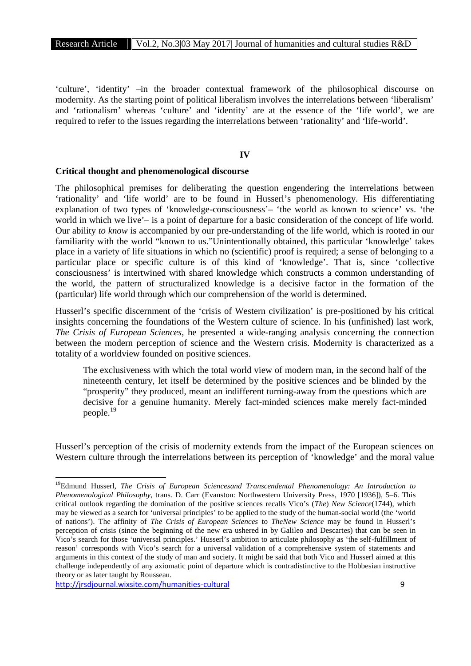'culture', 'identity' –in the broader contextual framework of the philosophical discourse on modernity. As the starting point of political liberalism involves the interrelations between 'liberalism' and 'rationalism' whereas 'culture' and 'identity' are at the essence of the 'life world', we are required to refer to the issues regarding the interrelations between 'rationality' and 'life-world'.

## **IV**

## **Critical thought and phenomenological discourse**

The philosophical premises for deliberating the question engendering the interrelations between 'rationality' and 'life world' are to be found in Husserl's phenomenology. His differentiating explanation of two types of 'knowledge-consciousness'– 'the world as known to science' vs. 'the world in which we live'– is a point of departure for a basic consideration of the concept of life world. Our ability *to know* is accompanied by our pre-understanding of the life world, which is rooted in our familiarity with the world "known to us."Unintentionally obtained, this particular 'knowledge' takes place in a variety of life situations in which no (scientific) proof is required; a sense of belonging to a particular place or specific culture is of this kind of 'knowledge'. That is, since 'collective consciousness' is intertwined with shared knowledge which constructs a common understanding of the world, the pattern of structuralized knowledge is a decisive factor in the formation of the (particular) life world through which our comprehension of the world is determined.

Husserl's specific discernment of the 'crisis of Western civilization' is pre-positioned by his critical insights concerning the foundations of the Western culture of science. In his (unfinished) last work, *The Crisis of European Sciences*, he presented a wide-ranging analysis concerning the connection between the modern perception of science and the Western crisis. Modernity is characterized as a totality of a worldview founded on positive sciences.

The exclusiveness with which the total world view of modern man, in the second half of the nineteenth century, let itself be determined by the positive sciences and be blinded by the "prosperity" they produced, meant an indifferent turning-away from the questions which are decisive for a genuine humanity. Merely fact-minded sciences make merely fact-minded people.<sup>19</sup>

Husserl's perception of the crisis of modernity extends from the impact of the European sciences on Western culture through the interrelations between its perception of 'knowledge' and the moral value

<sup>19</sup>Edmund Husserl, *The Crisis of European Sciencesand Transcendental Phenomenology: An Introduction to Phenomenological Philosophy*, trans. D. Carr (Evanston: Northwestern University Press, 1970 [1936]), 5–6. This critical outlook regarding the domination of the positive sciences recalls Vico's (*The*) *New Science*(1744), which may be viewed as a search for 'universal principles' to be applied to the study of the human-social world (the 'world of nations'). The affinity of *The Crisis of European Sciences* to *TheNew Science* may be found in Husserl's perception of crisis (since the beginning of the new era ushered in by Galileo and Descartes) that can be seen in Vico's search for those 'universal principles.' Husserl's ambition to articulate philosophy as 'the self-fulfillment of reason' corresponds with Vico's search for a universal validation of a comprehensive system of statements and arguments in this context of the study of man and society. It might be said that both Vico and Husserl aimed at this challenge independently of any axiomatic point of departure which is contradistinctive to the Hobbesian instructive theory or as later taught by Rousseau.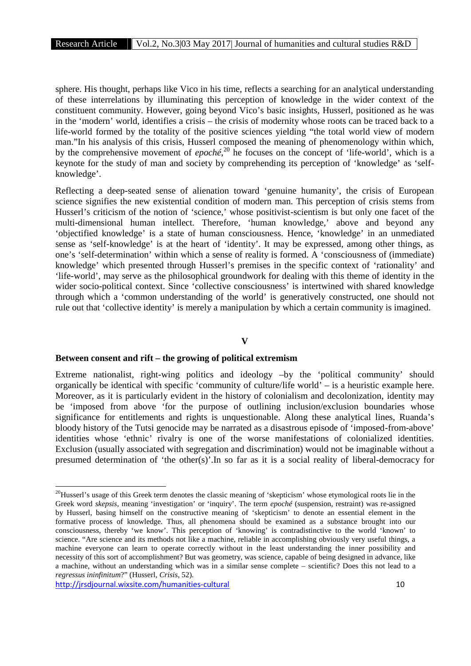sphere. His thought, perhaps like Vico in his time, reflects a searching for an analytical understanding of these interrelations by illuminating this perception of knowledge in the wider context of the constituent community. However, going beyond Vico's basic insights, Husserl, positioned as he was in the 'modern' world, identifies a crisis – the crisis of modernity whose roots can be traced back to a life-world formed by the totality of the positive sciences yielding "the total world view of modern man."In his analysis of this crisis, Husserl composed the meaning of phenomenology within which, by the comprehensive movement of *epoché*,<sup>20</sup> he focuses on the concept of 'life-world', which is a keynote for the study of man and society by comprehending its perception of 'knowledge' as 'self knowledge'.

Reflecting a deep-seated sense of alienation toward 'genuine humanity', the crisis of European science signifies the new existential condition of modern man. This perception of crisis stems from Husserl's criticism of the notion of 'science,' whose positivist-scientism is but only one facet of the multi-dimensional human intellect. Therefore, 'human knowledge,' above and beyond any 'objectified knowledge' is a state of human consciousness. Hence, 'knowledge' in an unmediated sense as 'self-knowledge' is at the heart of 'identity'. It may be expressed, among other things, as one's 'self-determination' within which a sense of reality is formed. A 'consciousness of (immediate) knowledge' which presented through Husserl's premises in the specific context of 'rationality' and 'life-world', may serve as the philosophical groundwork for dealing with this theme of identity in the wider socio-political context. Since 'collective consciousness' is intertwined with shared knowledge through which a 'common understanding of the world' is generatively constructed, one should not rule out that 'collective identity' is merely a manipulation by which a certain community is imagined.

# **V**

# **Between consent and rift – the growing of political extremism**

Extreme nationalist, right-wing politics and ideology –by the 'political community' should organically be identical with specific 'community of culture/life world' – is a heuristic example here. Moreover, as it is particularly evident in the history of colonialism and decolonization, identity may be 'imposed from above 'for the purpose of outlining inclusion/exclusion boundaries whose significance for entitlements and rights is unquestionable. Along these analytical lines, Ruanda's bloody history of the Tutsi genocide may be narrated as a disastrous episode of 'imposed-from-above' identities whose 'ethnic' rivalry is one of the worse manifestations of colonialized identities. Exclusion (usually associated with segregation and discrimination) would not be imaginable without a presumed determination of 'the other(s)'.In so far as it is a social reality of liberal-democracy for

<sup>&</sup>lt;sup>20</sup>Husserl's usage of this Greek term denotes the classic meaning of 'skepticism' whose etymological roots lie in the Greek word *skepsis*, meaning 'investigation' or 'inquiry'. The term *epoché* (suspension, restraint) was re-assigned by Husserl, basing himself on the constructive meaning of 'skepticism' to denote an essential element in the formative process of knowledge. Thus, all phenomena should be examined as a substance brought into our consciousness, thereby 'we know'. This perception of 'knowing' is contradistinctive to the world 'known' to science. "Are science and its methods not like a machine, reliable in accomplishing obviously very useful things, a machine everyone can learn to operate correctly without in the least understanding the inner possibility and necessity of this sort of accomplishment? But was geometry, was science, capable of being designed in advance, like a machine, without an understanding which was in a similar sense complete – scientific? Does this not lead to a *regressus ininfinitum*?" (Husserl, *Crisis*, 52).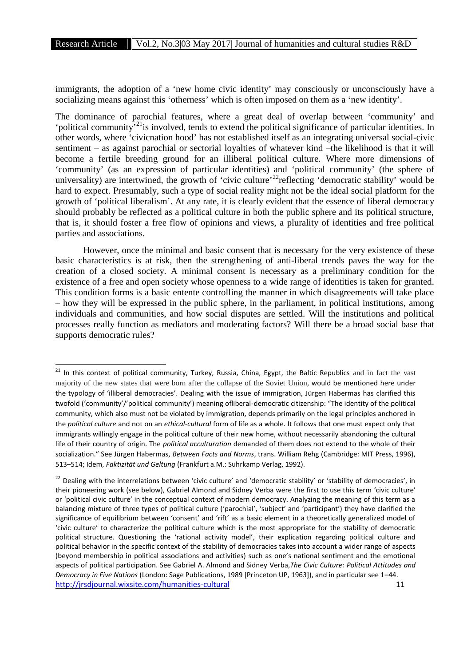immigrants, the adoption of a 'new home civic identity' may consciously or unconsciously have a socializing means against this 'otherness' which is often imposed on them as a 'new identity'.

The dominance of parochial features, where a great deal of overlap between 'community' and 'political community<sup>521</sup>is involved, tends to extend the political significance of particular identities. In other words, where 'civicnation hood' has not established itself as an integrating universal social-civic sentiment – as against parochial or sectorial loyalties of whatever kind –the likelihood is that it will become a fertile breeding ground for an illiberal political culture. Where more dimensions of 'community' (as an expression of particular identities) and 'political community' (the sphere of universality) are intertwined, the growth of 'civic culture'<sup>22</sup>reflecting 'democratic stability' would be hard to expect. Presumably, such a type of social reality might not be the ideal social platform for the growth of 'political liberalism'. At any rate, it is clearly evident that the essence of liberal democracy should probably be reflected as a political culture in both the public sphere and its political structure, that is, it should foster a free flow of opinions and views, a plurality of identities and free political parties and associations.

However, once the minimal and basic consent that is necessary for the very existence of these basic characteristics is at risk, then the strengthening of anti-liberal trends paves the way for the creation of a closed society. A minimal consent is necessary as a preliminary condition for the existence of a free and open society whose openness to a wide range of identities is taken for granted. This condition forms is a basic entente controlling the manner in which disagreements will take place – how they will be expressed in the public sphere, in the parliament, in political institutions, among individuals and communities, and how social disputes are settled. Will the institutions and political processes really function as mediators and moderating factors? Will there be a broad social base that supports democratic rules?

<sup>&</sup>lt;sup>21</sup> In this context of political community, Turkey, Russia, China, Egypt, the Baltic Republics and in fact the vast majority of the new states that were born after the collapse of the Soviet Union, would be mentioned here under the typology of 'illiberal democracies'. Dealing with the issue of immigration, Jürgen Habermas has clarified this twofold ('community'/'political community') meaning ofliberal-democratic citizenship: "The identity of the political community, which also must not be violated by immigration, depends primarily on the legal principles anchored in the *political culture* and not on an *ethical-cultural* form of life as a whole. It follows that one must expect only that immigrants willingly engage in the political culture of their new home, without necessarily abandoning the cultural life of their country of origin. The *political acculturation* demanded of them does not extend to the whole of their socialization." See Jürgen Habermas, *Between Facts and Norms*, trans. William Rehg (Cambridge: MIT Press, 1996), 513–514; Idem, *Faktizität und Geltung* (Frankfurt a.M.: Suhrkamp Verlag, 1992).

http://irsdiournal.wixsite.com/humanities-cultural 11 <sup>22</sup> Dealing with the interrelations between 'civic culture' and 'democratic stability' or 'stability of democracies', in their pioneering work (see below), Gabriel Almond and Sidney Verba were the first to use this term 'civic culture' or 'political civic culture' in the conceptual context of modern democracy. Analyzing the meaning of this term as a balancing mixture of three types of political culture ('parochial', 'subject' and 'participant') they have clarified the significance of equilibrium between 'consent' and 'rift' as a basic element in a theoretically generalized model of 'civic culture' to characterize the political culture which is the most appropriate for the stability of democratic political structure. Questioning the 'rational activity model', their explication regarding political culture and political behavior in the specific context of the stability of democracies takes into account a wider range of aspects (beyond membership in political associations and activities) such as one's national sentiment and the emotional aspects of political participation. See Gabriel A. Almond and Sidney Verba,*The Civic Culture: Political Attitudes and Democracy in Five Nations* (London: Sage Publications, 1989 [Princeton UP, 1963]), and in particular see 1–44.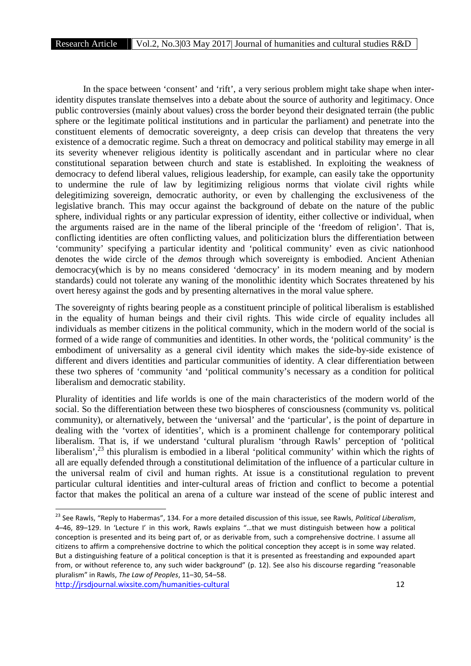In the space between 'consent' and 'rift', a very serious problem might take shape when interidentity disputes translate themselves into a debate about the source of authority and legitimacy. Once public controversies (mainly about values) cross the border beyond their designated terrain (the public sphere or the legitimate political institutions and in particular the parliament) and penetrate into the constituent elements of democratic sovereignty, a deep crisis can develop that threatens the very existence of a democratic regime. Such a threat on democracy and political stability may emerge in all its severity whenever religious identity is politically ascendant and in particular where no clear constitutional separation between church and state is established. In exploiting the weakness of democracy to defend liberal values, religious leadership, for example, can easily take the opportunity to undermine the rule of law by legitimizing religious norms that violate civil rights while delegitimizing sovereign, democratic authority, or even by challenging the exclusiveness of the legislative branch. This may occur against the background of debate on the nature of the public sphere, individual rights or any particular expression of identity, either collective or individual, when the arguments raised are in the name of the liberal principle of the 'freedom of religion'. That is, conflicting identities are often conflicting values, and politicization blurs the differentiation between 'community' specifying a particular identity and 'political community' even as civic nationhood denotes the wide circle of the *demos* through which sovereignty is embodied. Ancient Athenian democracy(which is by no means considered 'democracy' in its modern meaning and by modern standards) could not tolerate any waning of the monolithic identity which Socrates threatened by his overt heresy against the gods and by presenting alternatives in the moral value sphere.

The sovereignty of rights bearing people as a constituent principle of political liberalism is established in the equality of human beings and their civil rights. This wide circle of equality includes all individuals as member citizens in the political community, which in the modern world of the social is formed of a wide range of communities and identities. In other words, the 'political community' is the embodiment of universality as a general civil identity which makes the side-by-side existence of different and divers identities and particular communities of identity. A clear differentiation between these two spheres of 'community 'and 'political community's necessary as a condition for political liberalism and democratic stability.

Plurality of identities and life worlds is one of the main characteristics of the modern world of the social. So the differentiation between these two biospheres of consciousness (community vs. political community), or alternatively, between the 'universal' and the 'particular', is the point of departure in dealing with the 'vortex of identities', which is a prominent challenge for contemporary political liberalism. That is, if we understand 'cultural pluralism 'through Rawls' perception of 'political liberalism',<sup>23</sup> this pluralism is embodied in a liberal 'political community' within which the rights of all are equally defended through a constitutional delimitation of the influence of a particular culture in the universal realm of civil and human rights. At issue is a constitutional regulation to prevent particular cultural identities and inter-cultural areas of friction and conflict to become a potential factor that makes the political an arena of a culture war instead of the scene of public interest and

<sup>23</sup> See Rawls, "Reply to Habermas", 134. For a more detailed discussion of this issue, see Rawls, *Political Liberalism*, 4–46, 89–129. In 'Lecture I' in this work, Rawls explains "…that we must distinguish between how a political conception is presented and its being part of, or as derivable from, such a comprehensive doctrine. I assume all citizens to affirm a comprehensive doctrine to which the political conception they accept is in some way related. But a distinguishing feature of a political conception is that it is presented as freestanding and expounded apart from, or without reference to, any such wider background" (p. 12). See also his discourse regarding "reasonable pluralism" in Rawls, *The Law of Peoples*, 11–30, 54–58.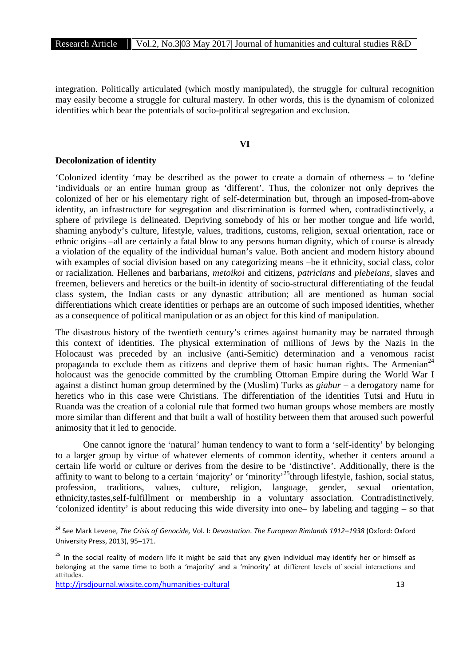integration. Politically articulated (which mostly manipulated), the struggle for cultural recognition may easily become a struggle for cultural mastery. In other words, this is the dynamism of colonized identities which bear the potentials of socio-political segregation and exclusion.

# **VI**

## **Decolonization of identity**

'Colonized identity 'may be described as the power to create a domain of otherness – to 'define 'individuals or an entire human group as 'different'. Thus, the colonizer not only deprives the colonized of her or his elementary right of self-determination but, through an imposed-from-above identity, an infrastructure for segregation and discrimination is formed when, contradistinctively, a sphere of privilege is delineated. Depriving somebody of his or her mother tongue and life world, shaming anybody's culture, lifestyle, values, traditions, customs, religion, sexual orientation, race or ethnic origins –all are certainly a fatal blow to any persons human dignity, which of course is already a violation of the equality of the individual human's value. Both ancient and modern history abound with examples of social division based on any categorizing means –be it ethnicity, social class, color or racialization. Hellenes and barbarians, *metoikoi* and citizens, *patricians* and *plebeians*, slaves and freemen, believers and heretics or the built-in identity of socio-structural differentiating of the feudal class system, the Indian casts or any dynastic attribution; all are mentioned as human social differentiations which create identities or perhaps are an outcome of such imposed identities, whether as a consequence of political manipulation or as an object for this kind of manipulation.

The disastrous history of the twentieth century's crimes against humanity may be narrated through this context of identities. The physical extermination of millions of Jews by the Nazis in the Holocaust was preceded by an inclusive (anti-Semitic) determination and a venomous racist propaganda to exclude them as citizens and deprive them of basic human rights. The Armenian<sup>24</sup> holocaust was the genocide committed by the crumbling Ottoman Empire during the World War I against a distinct human group determined by the (Muslim) Turks as *giabur* – a derogatory name for heretics who in this case were Christians. The differentiation of the identities Tutsi and Hutu in Ruanda was the creation of a colonial rule that formed two human groups whose members are mostly more similar than different and that built a wall of hostility between them that aroused such powerful animosity that it led to genocide.

One cannot ignore the 'natural' human tendency to want to form a 'self-identity' by belonging to a larger group by virtue of whatever elements of common identity, whether it centers around a certain life world or culture or derives from the desire to be 'distinctive'. Additionally, there is the affinity to want to belong to a certain 'majority' or 'minority'<sup>25</sup>through lifestyle, fashion, social status, profession, traditions, values, culture, religion, language, gender, sexual orientation, ethnicity,tastes,self-fulfillment or membership in a voluntary association. Contradistinctively, 'colonized identity' is about reducing this wide diversity into one– by labeling and tagging – so that

<sup>24</sup> See Mark Levene, *The Crisis of Genocide,* Vol. I: *Devastation*. *The European Rimlands 1912–1938* (Oxford: Oxford University Press, 2013), 95–171.

<sup>&</sup>lt;sup>25</sup> In the social reality of modern life it might be said that any given individual may identify her or himself as belonging at the same time to both a 'majority' and a 'minority' at different levels of social interactions and attitudes.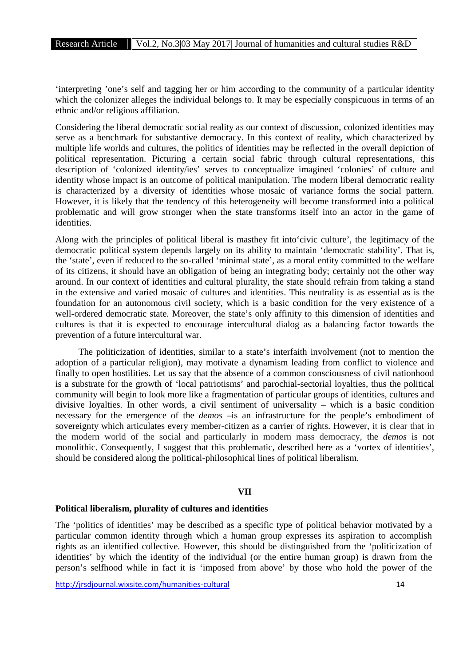'interpreting 'one's self and tagging her or him according to the community of a particular identity which the colonizer alleges the individual belongs to. It may be especially conspicuous in terms of an ethnic and/or religious affiliation.

Considering the liberal democratic social reality as our context of discussion, colonized identities may serve as a benchmark for substantive democracy. In this context of reality, which characterized by multiple life worlds and cultures, the politics of identities may be reflected in the overall depiction of political representation. Picturing a certain social fabric through cultural representations, this description of 'colonized identity/ies' serves to conceptualize imagined 'colonies' of culture and identity whose impact is an outcome of political manipulation. The modern liberal democratic reality is characterized by a diversity of identities whose mosaic of variance forms the social pattern. However, it is likely that the tendency of this heterogeneity will become transformed into a political problematic and will grow stronger when the state transforms itself into an actor in the game of identities.

Along with the principles of political liberal is masthey fit into'civic culture', the legitimacy of the democratic political system depends largely on its ability to maintain 'democratic stability'. That is, the 'state', even if reduced to the so-called 'minimal state', as a moral entity committed to the welfare of its citizens, it should have an obligation of being an integrating body; certainly not the other way around. In our context of identities and cultural plurality, the state should refrain from taking a stand in the extensive and varied mosaic of cultures and identities. This neutrality is as essential as is the foundation for an autonomous civil society, which is a basic condition for the very existence of a well-ordered democratic state. Moreover, the state's only affinity to this dimension of identities and cultures is that it is expected to encourage intercultural dialog as a balancing factor towards the prevention of a future intercultural war.

The politicization of identities, similar to a state's interfaith involvement (not to mention the adoption of a particular religion), may motivate a dynamism leading from conflict to violence and finally to open hostilities. Let us say that the absence of a common consciousness of civil nationhood is a substrate for the growth of 'local patriotisms' and parochial-sectorial loyalties, thus the political community will begin to look more like a fragmentation of particular groups of identities, cultures and divisive loyalties. In other words, a civil sentiment of universality – which is a basic condition necessary for the emergence of the *demos* –is an infrastructure for the people's embodiment of sovereignty which articulates every member-citizen as a carrier of rights. However, it is clear that in the modern world of the social and particularly in modern mass democracy, the *demos* is not monolithic. Consequently, I suggest that this problematic, described here as a 'vortex of identities', should be considered along the political-philosophical lines of political liberalism.

## **VII**

## **Political liberalism, plurality of cultures and identities**

The 'politics of identities' may be described as a specific type of political behavior motivated by a particular common identity through which a human group expresses its aspiration to accomplish rights as an identified collective. However, this should be distinguished from the 'politicization of identities' by which the identity of the individual (or the entire human group) is drawn from the person's selfhood while in fact it is 'imposed from above' by those who hold the power of the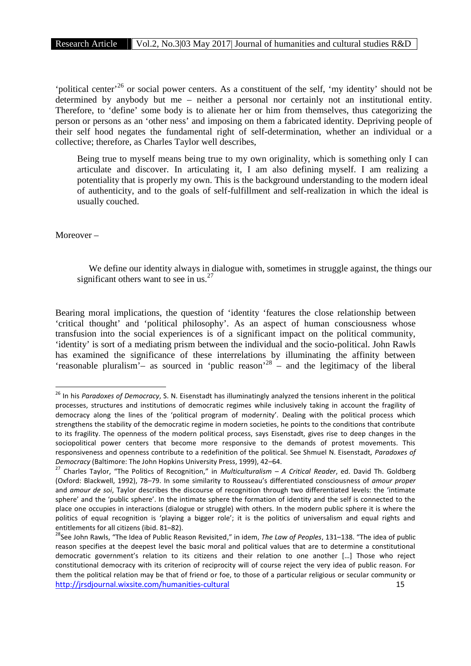'political center'<sup>26</sup> or social power centers. As a constituent of the self, 'my identity' should not be determined by anybody but me – neither a personal nor certainly not an institutional entity. Therefore, to 'define' some body is to alienate her or him from themselves, thus categorizing the person or persons as an 'other ness' and imposing on them a fabricated identity. Depriving people of their self hood negates the fundamental right of self-determination, whether an individual or a collective; therefore, as Charles Taylor well describes,

Being true to myself means being true to my own originality, which is something only I can articulate and discover. In articulating it, I am also defining myself. I am realizing a potentiality that is properly my own. This is the background understanding to the modern ideal of authenticity, and to the goals of self-fulfillment and self-realization in which the ideal is usually couched.

Moreover –

We define our identity always in dialogue with, sometimes in struggle against, the things our significant others want to see in us.<sup>27</sup>

Bearing moral implications, the question of 'identity 'features the close relationship between 'critical thought' and 'political philosophy'. As an aspect of human consciousness whose transfusion into the social experiences is of a significant impact on the political community, 'identity' is sort of a mediating prism between the individual and the socio-political. John Rawls has examined the significance of these interrelations by illuminating the affinity between 'reasonable pluralism'– as sourced in 'public reason'<sup>28</sup> – and the legitimacy of the liberal

<sup>26</sup> In his *Paradoxes of Democracy*, S. N. Eisenstadt has illuminatingly analyzed the tensions inherent in the political processes, structures and institutions of democratic regimes while inclusively taking in account the fragility of democracy along the lines of the 'political program of modernity'. Dealing with the political process which strengthens the stability of the democratic regime in modern societies, he points to the conditions that contribute to its fragility. The openness of the modern political process, says Eisenstadt, gives rise to deep changes in the sociopolitical power centers that become more responsive to the demands of protest movements. This responsiveness and openness contribute to a redefinition of the political. See Shmuel N. Eisenstadt, *Paradoxes of*

*Democracy* (Baltimore: The John Hopkins University Press, 1999), 42–64. <sup>27</sup> Charles Taylor, "The Politics of Recognition," in *Multiculturalism* – *A Critical Reader*, ed. David Th. Goldberg (Oxford: Blackwell, 1992), 78–79. In some similarity to Rousseau's differentiated consciousness of *amour proper* and *amour de soi*, Taylor describes the discourse of recognition through two differentiated levels: the 'intimate sphere' and the 'public sphere'. In the intimate sphere the formation of identity and the self is connected to the place one occupies in interactions (dialogue or struggle) with others. In the modern public sphere it is where the politics of equal recognition is 'playing a bigger role'; it is the politics of universalism and equal rights and

http://jrsdjournal.wixsite.com/humanities-cultural 15 entitlements for all citizens (ibid. 81–82).<br><sup>28</sup>See John Rawls, "The Idea of Public Reason Revisited," in idem, *The Law of Peoples*, 131–138. "The idea of public reason specifies at the deepest level the basic moral and political values that are to determine a constitutional democratic government's relation to its citizens and their relation to one another […] Those who reject constitutional democracy with its criterion of reciprocity will of course reject the very idea of public reason. For them the political relation may be that of friend or foe, to those of a particular religious or secular community or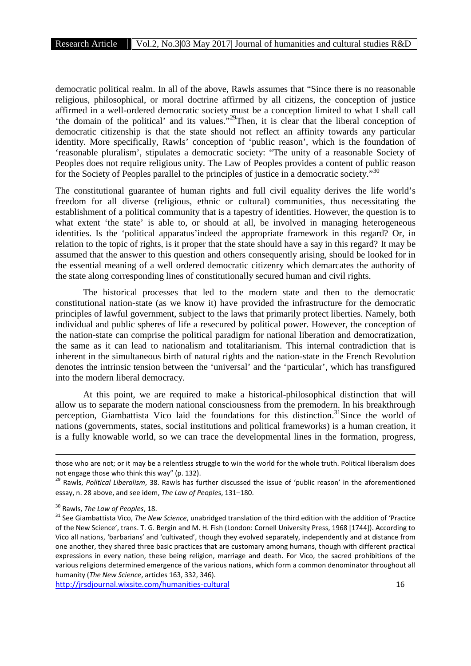democratic political realm. In all of the above, Rawls assumes that "Since there is no reasonable religious, philosophical, or moral doctrine affirmed by all citizens, the conception of justice affirmed in a well-ordered democratic society must be a conception limited to what I shall call 'the domain of the political' and its values."<sup>29</sup>Then, it is clear that the liberal conception of democratic citizenship is that the state should not reflect an affinity towards any particular identity. More specifically, Rawls' conception of 'public reason', which is the foundation of 'reasonable pluralism', stipulates a democratic society: "The unity of a reasonable Society of Peoples does not require religious unity. The Law of Peoples provides a content of public reason for the Society of Peoples parallel to the principles of justice in a democratic society."<sup>30</sup>

The constitutional guarantee of human rights and full civil equality derives the life world's freedom for all diverse (religious, ethnic or cultural) communities, thus necessitating the establishment of a political community that is a tapestry of identities. However, the question is to what extent 'the state' is able to, or should at all, be involved in managing heterogeneous identities. Is the 'political apparatus'indeed the appropriate framework in this regard? Or, in relation to the topic of rights, is it proper that the state should have a say in this regard? It may be assumed that the answer to this question and others consequently arising, should be looked for in the essential meaning of a well ordered democratic citizenry which demarcates the authority of the state along corresponding lines of constitutionally secured human and civil rights.

The historical processes that led to the modern state and then to the democratic constitutional nation-state (as we know it) have provided the infrastructure for the democratic principles of lawful government, subject to the laws that primarily protect liberties. Namely, both individual and public spheres of life a resecured by political power. However, the conception of the nation-state can comprise the political paradigm for national liberation and democratization, the same as it can lead to nationalism and totalitarianism. This internal contradiction that is inherent in the simultaneous birth of natural rights and the nation-state in the French Revolution denotes the intrinsic tension between the 'universal' and the 'particular', which has transfigured into the modern liberal democracy.

At this point, we are required to make a historical-philosophical distinction that will allow us to separate the modern national consciousness from the premodern. In his breakthrough perception, Giambattista Vico laid the foundations for this distinction.<sup>31</sup>Since the world of nations (governments, states, social institutions and political frameworks) is a human creation, it is a fully knowable world, so we can trace the developmental lines in the formation, progress,

those who are not; or it may be a relentless struggle to win the world for the whole truth. Political liberalism does not engage those who think this way" (p. 132).<br><sup>29</sup> Rawls, *Political Liberalism*, 38. Rawls has further discussed the issue of 'public reason' in the aforementioned

essay, n. 28 above, and see idem, *The Law of People*s, 131–180.

<sup>&</sup>lt;sup>30</sup> Rawls, *The Law of Peoples*, 18.<br><sup>31</sup> See Giambattista Vico, *The New Science*, unabridged translation of the third edition with the addition of 'Practice of the New Science', trans. T. G. Bergin and M. H. Fish (London: Cornell University Press, 1968 [1744]). According to Vico all nations, 'barbarians' and 'cultivated', though they evolved separately, independently and at distance from one another, they shared three basic practices that are customary among humans, though with different practical expressions in every nation, these being religion, marriage and death. For Vico, the sacred prohibitions of the various religions determined emergence of the various nations, which form a common denominator throughout all humanity (*The New Science*, articles 163, 332, 346).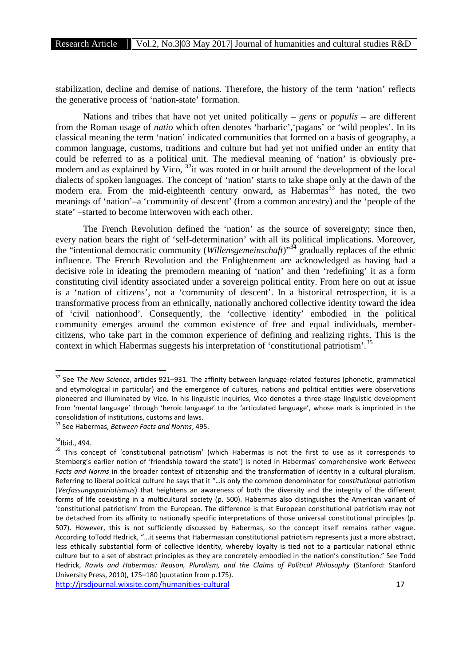stabilization, decline and demise of nations. Therefore, the history of the term 'nation' reflects the generative process of 'nation-state' formation.

Nations and tribes that have not yet united politically – *gens* or *populis* – are different from the Roman usage of *natio* which often denotes 'barbaric','pagans' or 'wild peoples'. In its classical meaning the term 'nation' indicated communities that formed on a basis of geography, a common language, customs, traditions and culture but had yet not unified under an entity that could be referred to as a political unit. The medieval meaning of 'nation' is obviously pre modern and as explained by Vico,  $32$ it was rooted in or built around the development of the local dialects of spoken languages. The concept of 'nation' starts to take shape only at the dawn of the modern era. From the mid-eighteenth century onward, as Habermas<sup>33</sup> has noted, the two meanings of 'nation'–a 'community of descent' (from a common ancestry) and the 'people of the state' –started to become interwoven with each other.

The French Revolution defined the 'nation' as the source of sovereignty; since then, every nation bears the right of 'self-determination' with all its political implications. Moreover, the "intentional democratic community (*Willensgemeinschaft*)"<sup>34</sup> gradually replaces of the ethnic influence. The French Revolution and the Enlightenment are acknowledged as having had a decisive role in ideating the premodern meaning of 'nation' and then 'redefining' it as a form constituting civil identity associated under a sovereign political entity. From here on out at issue is a 'nation of citizens', not a 'community of descent'. In a historical retrospection, it is a transformative process from an ethnically, nationally anchored collective identity toward the idea of 'civil nationhood'. Consequently, the 'collective identity' embodied in the political community emerges around the common existence of free and equal individuals, member citizens, who take part in the common experience of defining and realizing rights. This is the context in which Habermas suggests his interpretation of 'constitutional patriotism'.<sup>35</sup>

<sup>32</sup> See *The New Science*, articles 921–931. The affinity between language-related features (phonetic, grammatical and etymological in particular) and the emergence of cultures, nations and political entities were observations pioneered and illuminated by Vico. In his linguistic inquiries, Vico denotes a three-stage linguistic development from 'mental language' through 'heroic language' to the 'articulated language', whose mark is imprinted in the consolidation of institutions, customs and laws. <sup>33</sup> See Habermas, *Between Facts and Norms*, 495.

 $34$ Ibid., 494.<br><sup>35</sup> This concept of 'constitutional patriotism' (which Habermas is not the first to use as it corresponds to Sternberg's earlier notion of 'friendship toward the state') is noted in Habermas' comprehensive work *Between Facts and Norms* in the broader context of citizenship and the transformation of identity in a cultural pluralism. Referring to liberal political culture he says that it "…is only the common denominator for *constitutional* patriotism (*Verfassungspatriotismus*) that heightens an awareness of both the diversity and the integrity of the different forms of life coexisting in a multicultural society (p. 500). Habermas also distinguishes the American variant of 'constitutional patriotism' from the European. The difference is that European constitutional patriotism may not be detached from its affinity to nationally specific interpretations of those universal constitutional principles (p. 507). However, this is not sufficiently discussed by Habermas, so the concept itself remains rather vague. According toTodd Hedrick, "…it seems that Habermasian constitutional patriotism represents just a more abstract, less ethically substantial form of collective identity, whereby loyalty is tied not to a particular national ethnic culture but to a set of abstract principles as they are concretely embodied in the nation's constitution." See Todd Hedrick, *Rawls and Habermas: Reason, Pluralism, and the Claims of Political Philosophy* (Stanford: Stanford University Press, 2010), 175–180 (quotation from p.175).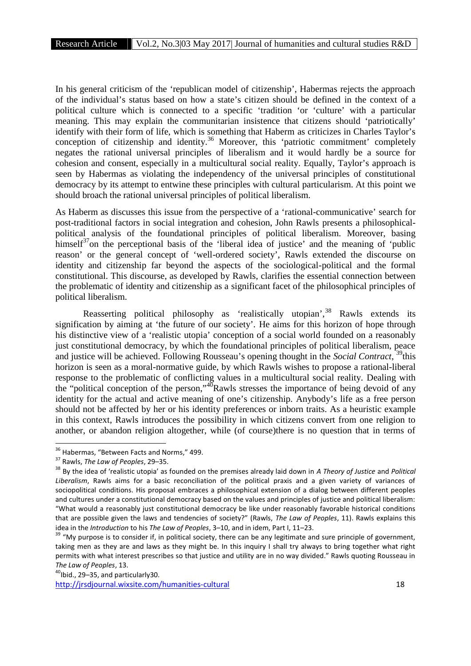In his general criticism of the 'republican model of citizenship', Habermas rejects the approach of the individual's status based on how a state's citizen should be defined in the context of a political culture which is connected to a specific 'tradition 'or 'culture' with a particular meaning. This may explain the communitarian insistence that citizens should 'patriotically' identify with their form of life, which is something that Haberm as criticizes in Charles Taylor's conception of citizenship and identity.<sup>36</sup> Moreover, this 'patriotic commitment' completely negates the rational universal principles of liberalism and it would hardly be a source for cohesion and consent, especially in a multicultural social reality. Equally, Taylor's approach is seen by Habermas as violating the independency of the universal principles of constitutional democracy by its attempt to entwine these principles with cultural particularism. At this point we should broach the rational universal principles of political liberalism.

As Haberm as discusses this issue from the perspective of a 'rational-communicative' search for post-traditional factors in social integration and cohesion, John Rawls presents a philosophical political analysis of the foundational principles of political liberalism. Moreover, basing himself<sup>37</sup>on the perceptional basis of the 'liberal idea of justice' and the meaning of 'public reason' or the general concept of 'well-ordered society', Rawls extended the discourse on identity and citizenship far beyond the aspects of the sociological-political and the formal constitutional. This discourse, as developed by Rawls, clarifies the essential connection between the problematic of identity and citizenship as a significant facet of the philosophical principles of political liberalism.

Reasserting political philosophy as 'realistically utopian',<sup>38</sup> Rawls extends its signification by aiming at 'the future of our society'. He aims for this horizon of hope through his distinctive view of a 'realistic utopia' conception of a social world founded on a reasonably just constitutional democracy, by which the foundational principles of political liberalism, peace and justice will be achieved. Following Rousseau's opening thought in the *Social Contract*, <sup>39</sup>this horizon is seen as a moral-normative guide, by which Rawls wishes to propose a rational-liberal response to the problematic of conflicting values in a multicultural social reality. Dealing with the "political conception of the person," $4\overline{0}$ Rawls stresses the importance of being devoid of any identity for the actual and active meaning of one's citizenship. Anybody's life as a free person should not be affected by her or his identity preferences or inborn traits. As a heuristic example in this context, Rawls introduces the possibility in which citizens convert from one religion to another, or abandon religion altogether, while (of course)there is no question that in terms of

<sup>&</sup>lt;sup>36</sup> Habermas, "Between Facts and Norms," 499.<br><sup>37</sup> Rawls, *The Law of Peoples*, 29–35.<br><sup>38</sup> By the idea of 'realistic utopia' as founded on the premises already laid down in *A Theory of Justice* and *Political Liberalism*, Rawls aims for a basic reconciliation of the political praxis and a given variety of variances of sociopolitical conditions. His proposal embraces a philosophical extension of a dialog between different peoples and cultures under a constitutional democracy based on the values and principles of justice and political liberalism: "What would a reasonably just constitutional democracy be like under reasonably favorable historical conditions that are possible given the laws and tendencies of society?" (Rawls, *The Law of Peoples*, 11). Rawls explains this idea in the *Introduction* to his *The Law of Peoples*, 3–10, and in idem, Part I, 11–23.<br><sup>39</sup> "My purpose is to consider if, in political society, there can be any legitimate and sure principle of government,

taking men as they are and laws as they might be. In this inquiry I shall try always to bring together what right permits with what interest prescribes so that justice and utility are in no way divided." Rawls quoting Rousseau in *The Law of Peoples*, 13.<br><sup>40</sup>Ibid., 29–35, and particularly30.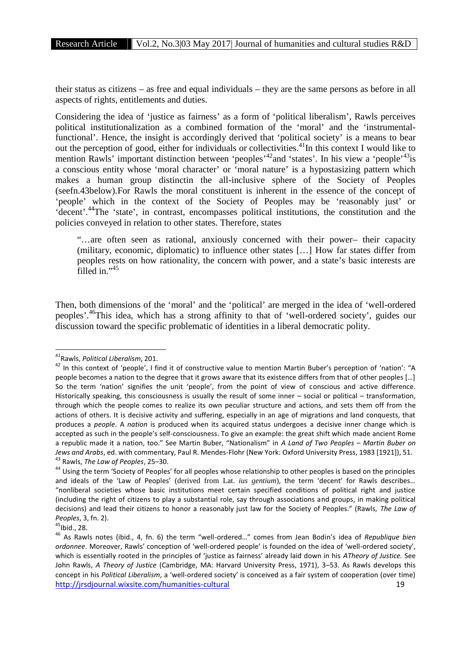their status as citizens – as free and equal individuals – they are the same persons as before in all aspects of rights, entitlements and duties.

Considering the idea of 'justice as fairness' as a form of 'political liberalism', Rawls perceives political institutionalization as a combined formation of the 'moral' and the 'instrumentalfunctional'. Hence, the insight is accordingly derived that 'political society' is a means to bear out the perception of good, either for individuals or collectivities.<sup>41</sup>In this context I would like to mention Rawls' important distinction between 'peoples'<sup>42</sup>and 'states'. In his view a 'people'<sup>43</sup>is a conscious entity whose 'moral character' or 'moral nature' is a hypostasizing pattern which makes a human group distinctin the all-inclusive sphere of the Society of Peoples (seefn.43below).For Rawls the moral constituent is inherent in the essence of the concept of 'people' which in the context of the Society of Peoples may be 'reasonably just' or 'decent'.<sup>44</sup>The 'state', in contrast, encompasses political institutions, the constitution and the policies conveyed in relation to other states. Therefore, states

"…are often seen as rational, anxiously concerned with their power– their capacity (military, economic, diplomatic) to influence other states […] How far states differ from peoples rests on how rationality, the concern with power, and a state's basic interests are filled in."<sup>45</sup>

Then, both dimensions of the 'moral' and the 'political' are merged in the idea of 'well-ordered peoples'.<sup>46</sup>This idea, which has a strong affinity to that of 'well-ordered society', guides our discussion toward the specific problematic of identities in a liberal democratic polity.

<sup>&</sup>lt;sup>41</sup>Rawls, *Political Liberalism*, 201.<br><sup>42</sup> In this context of 'people', I find it of constructive value to mention Martin Buber's perception of 'nation': "A people becomes a nation to the degree that it grows aware that its existence differs from that of other peoples […] So the term 'nation' signifies the unit 'people', from the point of view of conscious and active difference. Historically speaking, this consciousness is usually the result of some inner – social or political – transformation, through which the people comes to realize its own peculiar structure and actions, and sets them off from the actions of others. It is decisive activity and suffering, especially in an age of migrations and land conquests, that produces a *people*. A *nation* is produced when its acquired status undergoes a decisive inner change which is accepted as such in the people's self-consciousness. To give an example: the great shift which made ancient Rome a republic made it a nation, too." See Martin Buber, "Nationalism" in *A Land of Two Peoples* – *Martin Buber on* Jews and Arabs, ed. with commentary, Paul R. Mendes-Flohr (New York: Oxford University Press, 1983 [1921]), 51.<br><sup>43</sup> Rawls, *The Law of Peoples*, 25–30.<br><sup>44</sup> Using the term 'Society of Peoples' for all peoples whose relati

and ideals of the 'Law of Peoples' (derived from Lat. *ius gentium*), the term 'decent' for Rawls describes… "nonliberal societies whose basic institutions meet certain specified conditions of political right and justice (including the right of citizens to play a substantial role, say through associations and groups, in making political decisions) and lead their citizens to honor a reasonably just law for the Society of Peoples." (Rawls, *The Law of*

http://jrsdjournal.wixsite.com/humanities-cultural 19 *Peoples*, 3, fn. 2).<br><sup>45</sup>Ibid., 28.<br><sup>46</sup> As Rawls notes (ibid., 4, fn. 6) the term "well-ordered..." comes from Jean Bodin's idea of *Republique bien ordonnee*. Moreover, Rawls' conception of 'well-ordered people' is founded on the idea of 'well-ordered society', which is essentially rooted in the principles of 'justice as fairness' already laid down in his *ATheory of Justice.* See John Rawls, *A Theory of Justice* (Cambridge, MA: Harvard University Press, 1971), 3–53. As Rawls develops this concept in his *Political Liberalism*, a 'well-ordered society' is conceived as a fair system of cooperation (over time)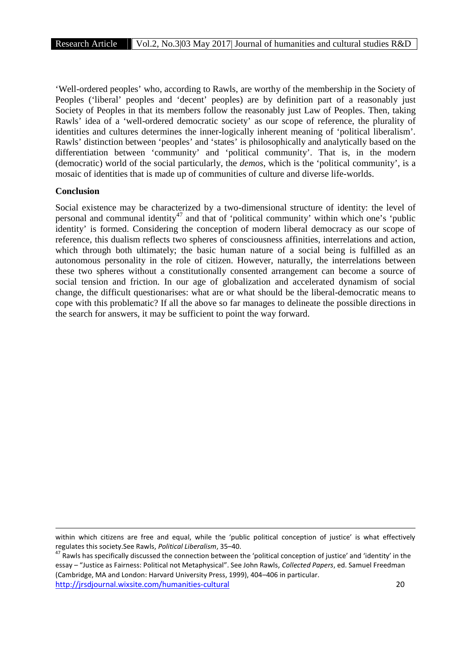'Well-ordered peoples' who, according to Rawls, are worthy of the membership in the Society of Peoples ('liberal' peoples and 'decent' peoples) are by definition part of a reasonably just Society of Peoples in that its members follow the reasonably just Law of Peoples. Then, taking Rawls' idea of a 'well-ordered democratic society' as our scope of reference, the plurality of identities and cultures determines the inner-logically inherent meaning of 'political liberalism'. Rawls' distinction between 'peoples' and 'states' is philosophically and analytically based on the differentiation between 'community' and 'political community'. That is, in the modern (democratic) world of the social particularly, the *demos*, which is the 'political community', is a mosaic of identities that is made up of communities of culture and diverse life-worlds.

## **Conclusion**

Social existence may be characterized by a two-dimensional structure of identity: the level of personal and communal identity<sup>47</sup> and that of 'political community' within which one's 'public identity' is formed. Considering the conception of modern liberal democracy as our scope of reference, this dualism reflects two spheres of consciousness affinities, interrelations and action, which through both ultimately; the basic human nature of a social being is fulfilled as an autonomous personality in the role of citizen. However, naturally, the interrelations between these two spheres without a constitutionally consented arrangement can become a source of social tension and friction. In our age of globalization and accelerated dynamism of social change, the difficult questionarises: what are or what should be the liberal-democratic means to cope with this problematic? If all the above so far manages to delineate the possible directions in the search for answers, it may be sufficient to point the way forward.

within which citizens are free and equal, while the 'public political conception of justice' is what effectively regulates this society.See Rawls, *Political Liberalism*, 35–40.<br><sup>47</sup> Rawls has specifically discussed the connection between the 'political conception of justice' and 'identity' in the

http://jrsdjournal.wixsite.com/humanities-cultural 20 essay – "Justice as Fairness: Political not Metaphysical". See John Rawls, *Collected Papers*, ed. Samuel Freedman (Cambridge, MA and London: Harvard University Press, 1999), 404–406 in particular.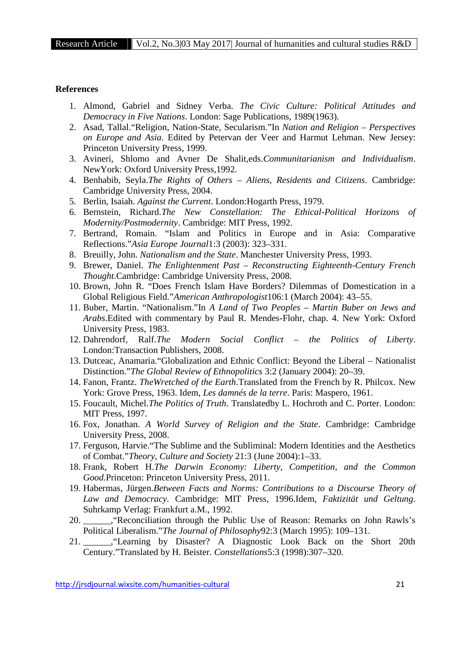## **References**

- 1. Almond, Gabriel and Sidney Verba. *The Civic Culture: Political Attitudes and Democracy in Five Nations*. London: Sage Publications, 1989(1963).
- 2. Asad, Tallal."Religion, Nation-State, Secularism."In *Nation and Religion – Perspectives on Europe and Asia*. Edited by Petervan der Veer and Harmut Lehman. New Jersey: Princeton University Press, 1999.
- 3. Avineri, Shlomo and Avner De Shalit,eds.*Communitarianism and Individualism*. NewYork: Oxford University Press,1992.
- 4. Benhabib, Seyla.*The Rights of Others – Aliens, Residents and Citizens*. Cambridge: Cambridge University Press, 2004.
- 5. Berlin, Isaiah. *Against the Current*. London:Hogarth Press, 1979.
- 6. Bernstein, Richard.*The New Constellation: The Ethical-Political Horizons of Modernity/Postmodernity*. Cambridge: MIT Press, 1992.
- 7. Bertrand, Romain. "Islam and Politics in Europe and in Asia: Comparative Reflections."*Asia Europe Journal*1:3 (2003): 323–331.
- 8. Breuilly, John. *Nationalism and the State*. Manchester University Press, 1993.
- 9. Brewer, Daniel. *The Enlightenment Past – Reconstructing Eighteenth-Century French Thought*.Cambridge: Cambridge University Press, 2008.
- 10. Brown, John R. "Does French Islam Have Borders? Dilemmas of Domestication in a Global Religious Field."*American Anthropologist*106:1 (March 2004): 43–55.
- 11. Buber, Martin. "Nationalism."In *A Land of Two Peoples Martin Buber on Jews and Arabs*.Edited with commentary by Paul R. Mendes-Flohr, chap. 4. New York: Oxford University Press, 1983.
- 12. Dahrendorf, Ralf.*The Modern Social Conflict – the Politics of Liberty*. London:Transaction Publishers, 2008.
- 13. Dutceac, Anamaria."Globalization and Ethnic Conflict: Beyond the Liberal Nationalist Distinction."*The Global Review of Ethnopolitics* 3:2 (January 2004): 20–39.
- 14. Fanon, Frantz. *TheWretched of the Earth*.Translated from the French by R. Philcox. New York: Grove Press, 1963. Idem, *Les damnés de la terre*. Paris: Maspero, 1961.
- 15. Foucault, Michel.*The Politics of Truth*. Translatedby L. Hochroth and C. Porter. London: MIT Press, 1997.
- 16. Fox, Jonathan. *A World Survey of Religion and the State*. Cambridge: Cambridge University Press, 2008.
- 17. Ferguson, Harvie."The Sublime and the Subliminal: Modern Identities and the Aesthetics of Combat."*Theory, Culture and Society* 21:3 (June 2004):1–33.
- 18. Frank, Robert H.*The Darwin Economy: Liberty, Competition, and the Common Good.*Princeton: Princeton University Press, 2011.
- 19. Habermas, Jürgen.*Between Facts and Norms: Contributions to a Discourse Theory of Law and Democracy.* Cambridge: MIT Press, 1996.Idem, *Faktizität und Geltung*. Suhrkamp Verlag: Frankfurt a.M., 1992.
- 20. \_\_\_\_\_\_,"Reconciliation through the Public Use of Reason: Remarks on John Rawls's Political Liberalism."*The Journal of Philosophy*92:3 (March 1995): 109–131.
- 21. \_\_\_\_\_\_,"Learning by Disaster? A Diagnostic Look Back on the Short 20th Century."Translated by H. Beister. *Constellations*5:3 (1998):307–320.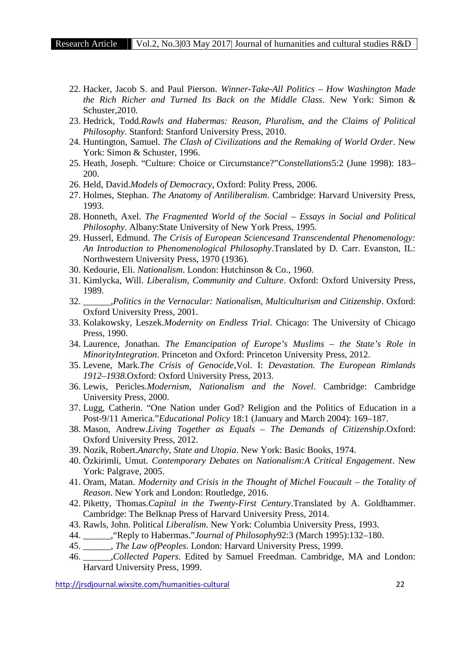- 22. Hacker, Jacob S. and Paul Pierson. *Winner-Take-All Politics – How Washington Made the Rich Richer and Turned Its Back on the Middle Class*. New York: Simon & Schuster,2010.
- 23. Hedrick, Todd.*Rawls and Habermas: Reason, Pluralism, and the Claims of Political Philosophy*. Stanford: Stanford University Press, 2010.
- 24. Huntington, Samuel. *The Clash of Civilizations and the Remaking of World Order*. New York: Simon & Schuster, 1996.
- 25. Heath, Joseph. "Culture: Choice or Circumstance?"*Constellations*5:2 (June 1998): 183– 200.
- 26. Held, David.*Models of Democracy*, Oxford: Polity Press, 2006.
- 27. Holmes, Stephan. *The Anatomy of Antiliberalism*. Cambridge: Harvard University Press, 1993.
- 28. Honneth, Axel. *The Fragmented World of the Social – Essays in Social and Political Philosophy*. Albany:State University of New York Press, 1995.
- 29. Husserl, Edmund. *The Crisis of European Sciencesand Transcendental Phenomenology: An Introduction to Phenomenological Philosophy*.Translated by D. Carr. Evanston, IL: Northwestern University Press, 1970 (1936).
- 30. Kedourie, Eli. *Nationalism*. London: Hutchinson & Co., 1960.
- 31. Kimlycka, Will. *Liberalism, Community and Culture*. Oxford: Oxford University Press, 1989.
- 32. \_\_\_\_\_\_,*Politics in the Vernacular: Nationalism, Multiculturism and Citizenship*. Oxford: Oxford University Press, 2001.
- 33. Kolakowsky, Leszek.*Modernity on Endless Trial*. Chicago: The University of Chicago Press, 1990.
- 34. Laurence, Jonathan. *The Emancipation of Europe's Muslims – the State's Role in MinorityIntegration*. Princeton and Oxford: Princeton University Press, 2012.
- 35. Levene, Mark.*The Crisis of Genocide*,Vol. I: *Devastation. The European Rimlands 1912–1938*.Oxford: Oxford University Press, 2013.
- 36. Lewis, Pericles.*Modernism, Nationalism and the Novel*. Cambridge: Cambridge University Press, 2000.
- 37. Lugg, Catherin. "One Nation under God? Religion and the Politics of Education in a Post-9/11 America."*Educational Policy* 18:1 (January and March 2004): 169–187.
- 38. Mason, Andrew.*Living Together as Equals – The Demands of Citizenship*.Oxford: Oxford University Press, 2012.
- 39. Nozik, Robert.*Anarchy, State and Utopia*. New York: Basic Books, 1974.
- 40. Özkirimli, Umut. *Contemporary Debates on Nationalism:A Critical Engagement*. New York: Palgrave, 2005.
- 41. Oram, Matan. *Modernity and Crisis in the Thought of Michel Foucault the Totality of Reason*. New York and London: Routledge, 2016.
- 42. Piketty, Thomas.*Capital in the Twenty-First Century*.Translated by A. Goldhammer. Cambridge: The Belknap Press of Harvard University Press, 2014.
- 43. Rawls, John. Political *Liberalism*. New York: Columbia University Press, 1993.
- 44. \_\_\_\_\_\_,"Reply to Habermas."*Journal of Philosophy*92:3 (March 1995):132–180.
- 45. \_\_\_\_\_\_, *The Law ofPeoples*. London: Harvard University Press, 1999.
- 46. \_\_\_\_\_\_,*Collected Papers*. Edited by Samuel Freedman. Cambridge, MA and London: Harvard University Press, 1999.